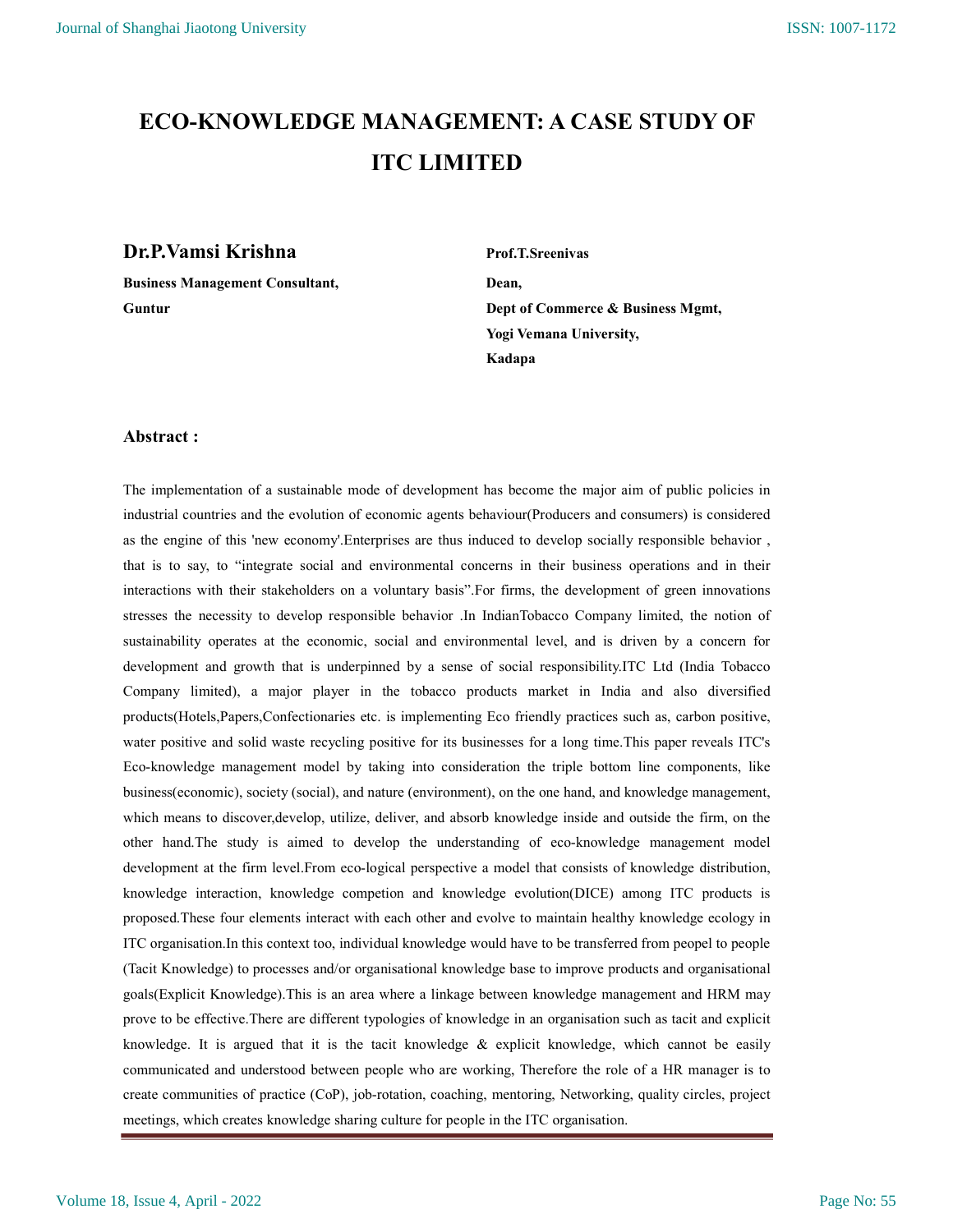# ECO-KNOWLEDGE MANAGEMENT: A CASE STUDY OF ITC LIMITED

# **Dr.P.Vamsi Krishna** Prof.T.Sreenivas

Business Management Consultant, Dean,

Guntur **Guntur** Dept of Commerce & Business Mgmt, Yogi Vemana University, Kadapa

# Abstract :

The implementation of a sustainable mode of development has become the major aim of public policies in industrial countries and the evolution of economic agents behaviour(Producers and consumers) is considered as the engine of this 'new economy'.Enterprises are thus induced to develop socially responsible behavior , that is to say, to "integrate social and environmental concerns in their business operations and in their interactions with their stakeholders on a voluntary basis".For firms, the development of green innovations stresses the necessity to develop responsible behavior .In IndianTobacco Company limited, the notion of sustainability operates at the economic, social and environmental level, and is driven by a concern for development and growth that is underpinned by a sense of social responsibility.ITC Ltd (India Tobacco Company limited), a major player in the tobacco products market in India and also diversified products(Hotels,Papers,Confectionaries etc. is implementing Eco friendly practices such as, carbon positive, water positive and solid waste recycling positive for its businesses for a long time.This paper reveals ITC's Eco-knowledge management model by taking into consideration the triple bottom line components, like business(economic), society (social), and nature (environment), on the one hand, and knowledge management, which means to discover,develop, utilize, deliver, and absorb knowledge inside and outside the firm, on the other hand.The study is aimed to develop the understanding of eco-knowledge management model development at the firm level.From eco-logical perspective a model that consists of knowledge distribution, knowledge interaction, knowledge competion and knowledge evolution(DICE) among ITC products is proposed.These four elements interact with each other and evolve to maintain healthy knowledge ecology in ITC organisation.In this context too, individual knowledge would have to be transferred from peopel to people (Tacit Knowledge) to processes and/or organisational knowledge base to improve products and organisational goals(Explicit Knowledge).This is an area where a linkage between knowledge management and HRM may prove to be effective.There are different typologies of knowledge in an organisation such as tacit and explicit knowledge. It is argued that it is the tacit knowledge & explicit knowledge, which cannot be easily communicated and understood between people who are working, Therefore the role of a HR manager is to create communities of practice (CoP), job-rotation, coaching, mentoring, Networking, quality circles, project meetings, which creates knowledge sharing culture for people in the ITC organisation.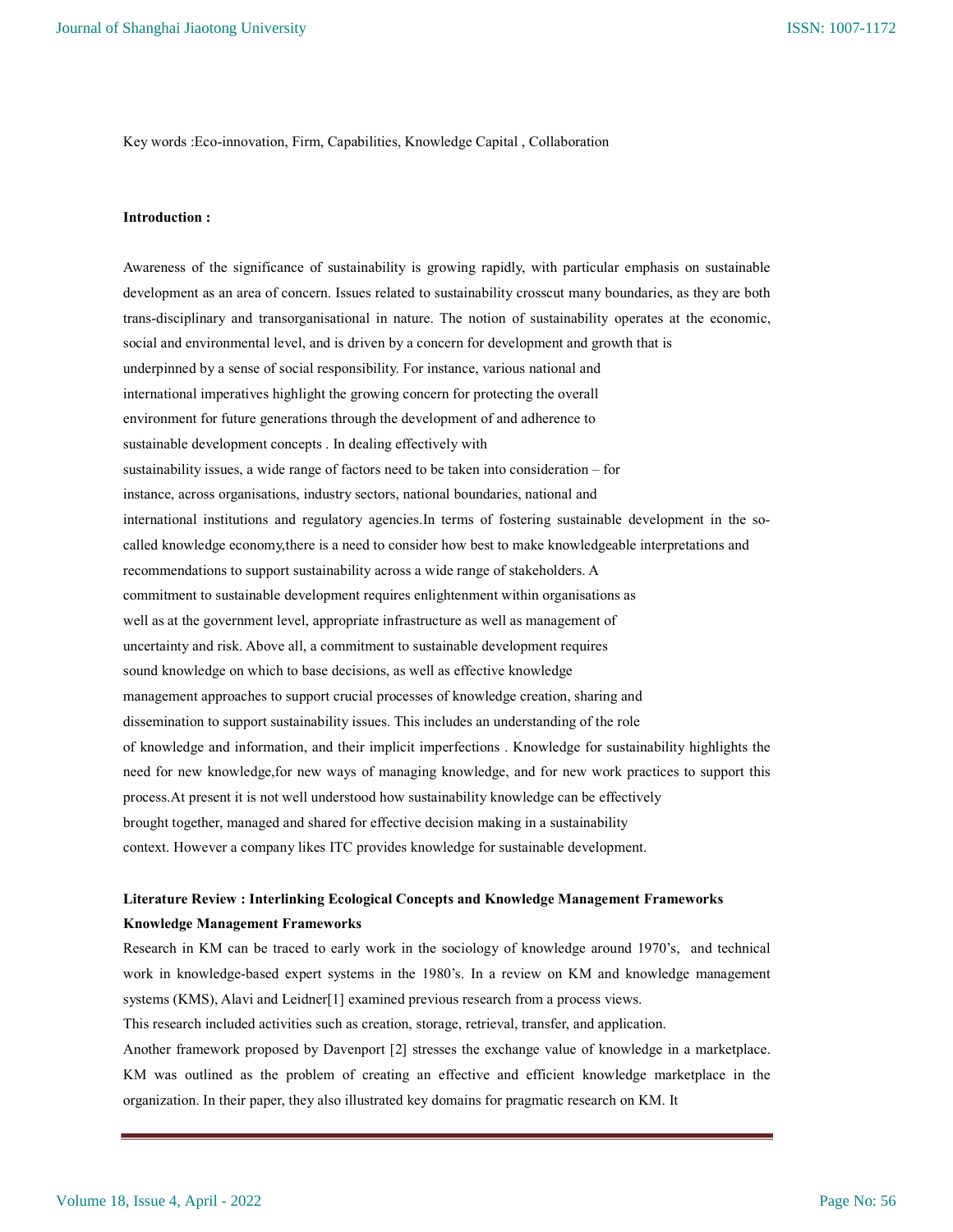Key words :Eco-innovation, Firm, Capabilities, Knowledge Capital , Collaboration

#### Introduction :

Awareness of the significance of sustainability is growing rapidly, with particular emphasis on sustainable development as an area of concern. Issues related to sustainability crosscut many boundaries, as they are both trans-disciplinary and transorganisational in nature. The notion of sustainability operates at the economic, social and environmental level, and is driven by a concern for development and growth that is underpinned by a sense of social responsibility. For instance, various national and international imperatives highlight the growing concern for protecting the overall environment for future generations through the development of and adherence to sustainable development concepts . In dealing effectively with sustainability issues, a wide range of factors need to be taken into consideration – for instance, across organisations, industry sectors, national boundaries, national and international institutions and regulatory agencies.In terms of fostering sustainable development in the socalled knowledge economy,there is a need to consider how best to make knowledgeable interpretations and recommendations to support sustainability across a wide range of stakeholders. A commitment to sustainable development requires enlightenment within organisations as well as at the government level, appropriate infrastructure as well as management of uncertainty and risk. Above all, a commitment to sustainable development requires sound knowledge on which to base decisions, as well as effective knowledge management approaches to support crucial processes of knowledge creation, sharing and dissemination to support sustainability issues. This includes an understanding of the role of knowledge and information, and their implicit imperfections . Knowledge for sustainability highlights the need for new knowledge,for new ways of managing knowledge, and for new work practices to support this process.At present it is not well understood how sustainability knowledge can be effectively brought together, managed and shared for effective decision making in a sustainability context. However a company likes ITC provides knowledge for sustainable development.

# Literature Review : Interlinking Ecological Concepts and Knowledge Management Frameworks Knowledge Management Frameworks

Research in KM can be traced to early work in the sociology of knowledge around 1970's, and technical work in knowledge-based expert systems in the 1980's. In a review on KM and knowledge management systems (KMS), Alavi and Leidner[1] examined previous research from a process views.

This research included activities such as creation, storage, retrieval, transfer, and application.

Another framework proposed by Davenport [2] stresses the exchange value of knowledge in a marketplace. KM was outlined as the problem of creating an effective and efficient knowledge marketplace in the organization. In their paper, they also illustrated key domains for pragmatic research on KM. It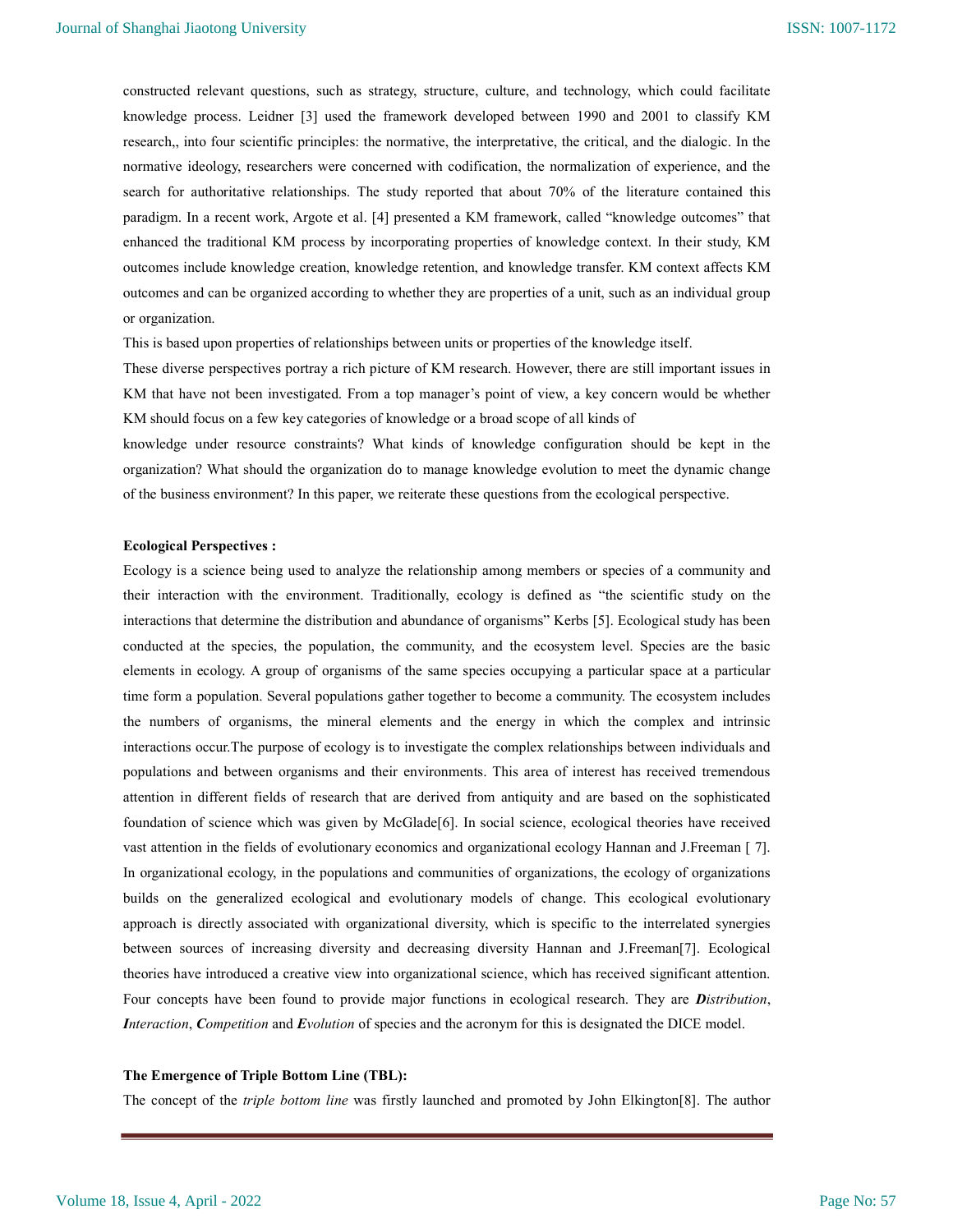constructed relevant questions, such as strategy, structure, culture, and technology, which could facilitate knowledge process. Leidner [3] used the framework developed between 1990 and 2001 to classify KM research,, into four scientific principles: the normative, the interpretative, the critical, and the dialogic. In the normative ideology, researchers were concerned with codification, the normalization of experience, and the search for authoritative relationships. The study reported that about 70% of the literature contained this paradigm. In a recent work, Argote et al. [4] presented a KM framework, called "knowledge outcomes" that enhanced the traditional KM process by incorporating properties of knowledge context. In their study, KM outcomes include knowledge creation, knowledge retention, and knowledge transfer. KM context affects KM outcomes and can be organized according to whether they are properties of a unit, such as an individual group or organization.

This is based upon properties of relationships between units or properties of the knowledge itself.

These diverse perspectives portray a rich picture of KM research. However, there are still important issues in KM that have not been investigated. From a top manager's point of view, a key concern would be whether KM should focus on a few key categories of knowledge or a broad scope of all kinds of

knowledge under resource constraints? What kinds of knowledge configuration should be kept in the organization? What should the organization do to manage knowledge evolution to meet the dynamic change of the business environment? In this paper, we reiterate these questions from the ecological perspective.

#### Ecological Perspectives :

Ecology is a science being used to analyze the relationship among members or species of a community and their interaction with the environment. Traditionally, ecology is defined as "the scientific study on the interactions that determine the distribution and abundance of organisms" Kerbs [5]. Ecological study has been conducted at the species, the population, the community, and the ecosystem level. Species are the basic elements in ecology. A group of organisms of the same species occupying a particular space at a particular time form a population. Several populations gather together to become a community. The ecosystem includes the numbers of organisms, the mineral elements and the energy in which the complex and intrinsic interactions occur.The purpose of ecology is to investigate the complex relationships between individuals and populations and between organisms and their environments. This area of interest has received tremendous attention in different fields of research that are derived from antiquity and are based on the sophisticated foundation of science which was given by McGlade[6]. In social science, ecological theories have received vast attention in the fields of evolutionary economics and organizational ecology Hannan and J.Freeman [ 7]. In organizational ecology, in the populations and communities of organizations, the ecology of organizations builds on the generalized ecological and evolutionary models of change. This ecological evolutionary approach is directly associated with organizational diversity, which is specific to the interrelated synergies between sources of increasing diversity and decreasing diversity Hannan and J.Freeman[7]. Ecological theories have introduced a creative view into organizational science, which has received significant attention. Four concepts have been found to provide major functions in ecological research. They are *Distribution*, Interaction, Competition and Evolution of species and the acronym for this is designated the DICE model.

#### The Emergence of Triple Bottom Line (TBL):

The concept of the triple bottom line was firstly launched and promoted by John Elkington[8]. The author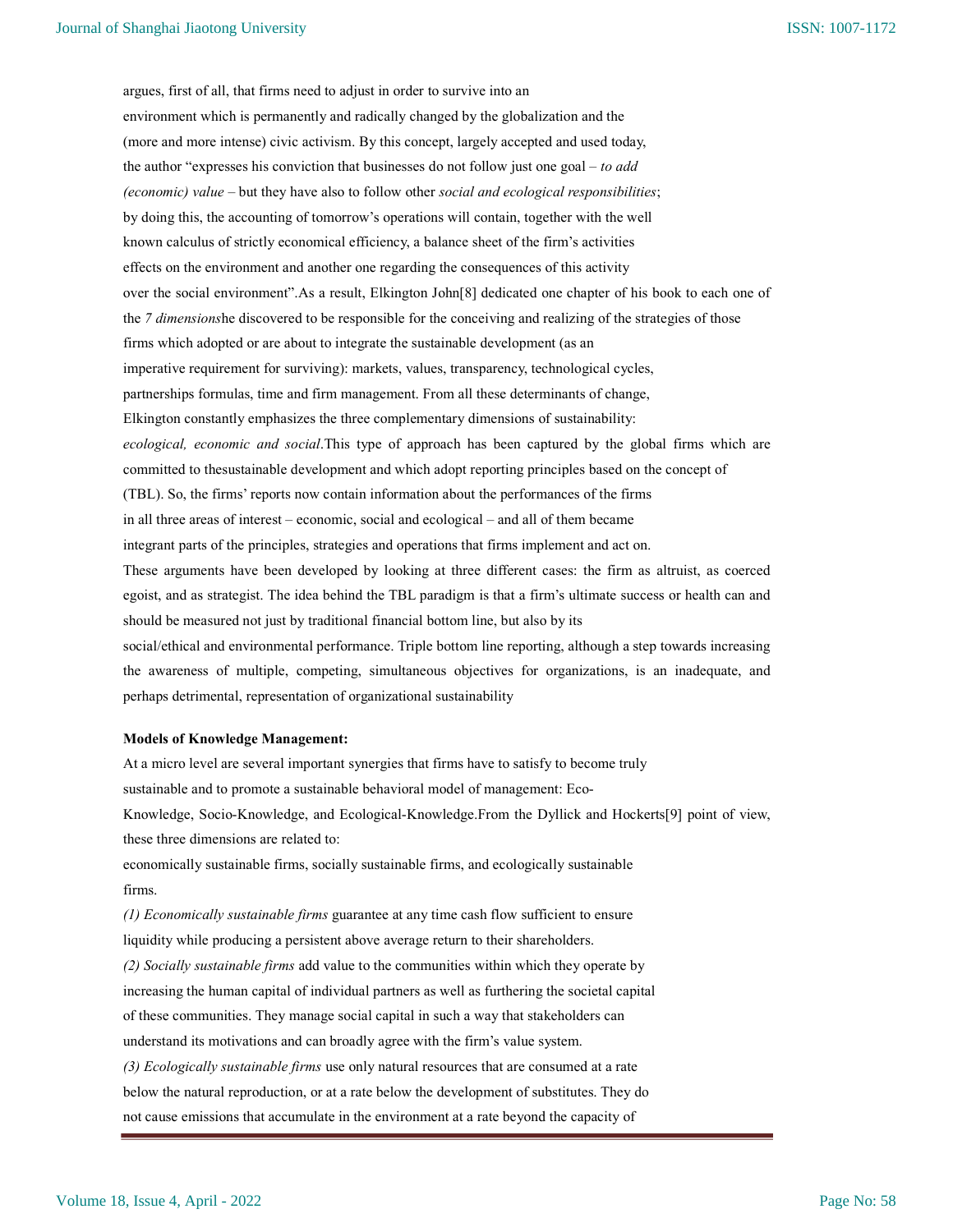argues, first of all, that firms need to adjust in order to survive into an environment which is permanently and radically changed by the globalization and the (more and more intense) civic activism. By this concept, largely accepted and used today, the author "expresses his conviction that businesses do not follow just one goal – to add (economic) value – but they have also to follow other social and ecological responsibilities; by doing this, the accounting of tomorrow's operations will contain, together with the well known calculus of strictly economical efficiency, a balance sheet of the firm's activities effects on the environment and another one regarding the consequences of this activity over the social environment".As a result, Elkington John[8] dedicated one chapter of his book to each one of the 7 dimensionshe discovered to be responsible for the conceiving and realizing of the strategies of those firms which adopted or are about to integrate the sustainable development (as an imperative requirement for surviving): markets, values, transparency, technological cycles, partnerships formulas, time and firm management. From all these determinants of change, Elkington constantly emphasizes the three complementary dimensions of sustainability: ecological, economic and social.This type of approach has been captured by the global firms which are committed to thesustainable development and which adopt reporting principles based on the concept of (TBL). So, the firms' reports now contain information about the performances of the firms in all three areas of interest – economic, social and ecological – and all of them became integrant parts of the principles, strategies and operations that firms implement and act on. These arguments have been developed by looking at three different cases: the firm as altruist, as coerced egoist, and as strategist. The idea behind the TBL paradigm is that a firm's ultimate success or health can and should be measured not just by traditional financial bottom line, but also by its social/ethical and environmental performance. Triple bottom line reporting, although a step towards increasing the awareness of multiple, competing, simultaneous objectives for organizations, is an inadequate, and perhaps detrimental, representation of organizational sustainability

#### Models of Knowledge Management:

At a micro level are several important synergies that firms have to satisfy to become truly sustainable and to promote a sustainable behavioral model of management: Eco-Knowledge, Socio-Knowledge, and Ecological-Knowledge.From the Dyllick and Hockerts[9] point of view, these three dimensions are related to: economically sustainable firms, socially sustainable firms, and ecologically sustainable firms. (1) Economically sustainable firms guarantee at any time cash flow sufficient to ensure liquidity while producing a persistent above average return to their shareholders. (2) Socially sustainable firms add value to the communities within which they operate by increasing the human capital of individual partners as well as furthering the societal capital of these communities. They manage social capital in such a way that stakeholders can understand its motivations and can broadly agree with the firm's value system. (3) Ecologically sustainable firms use only natural resources that are consumed at a rate below the natural reproduction, or at a rate below the development of substitutes. They do not cause emissions that accumulate in the environment at a rate beyond the capacity of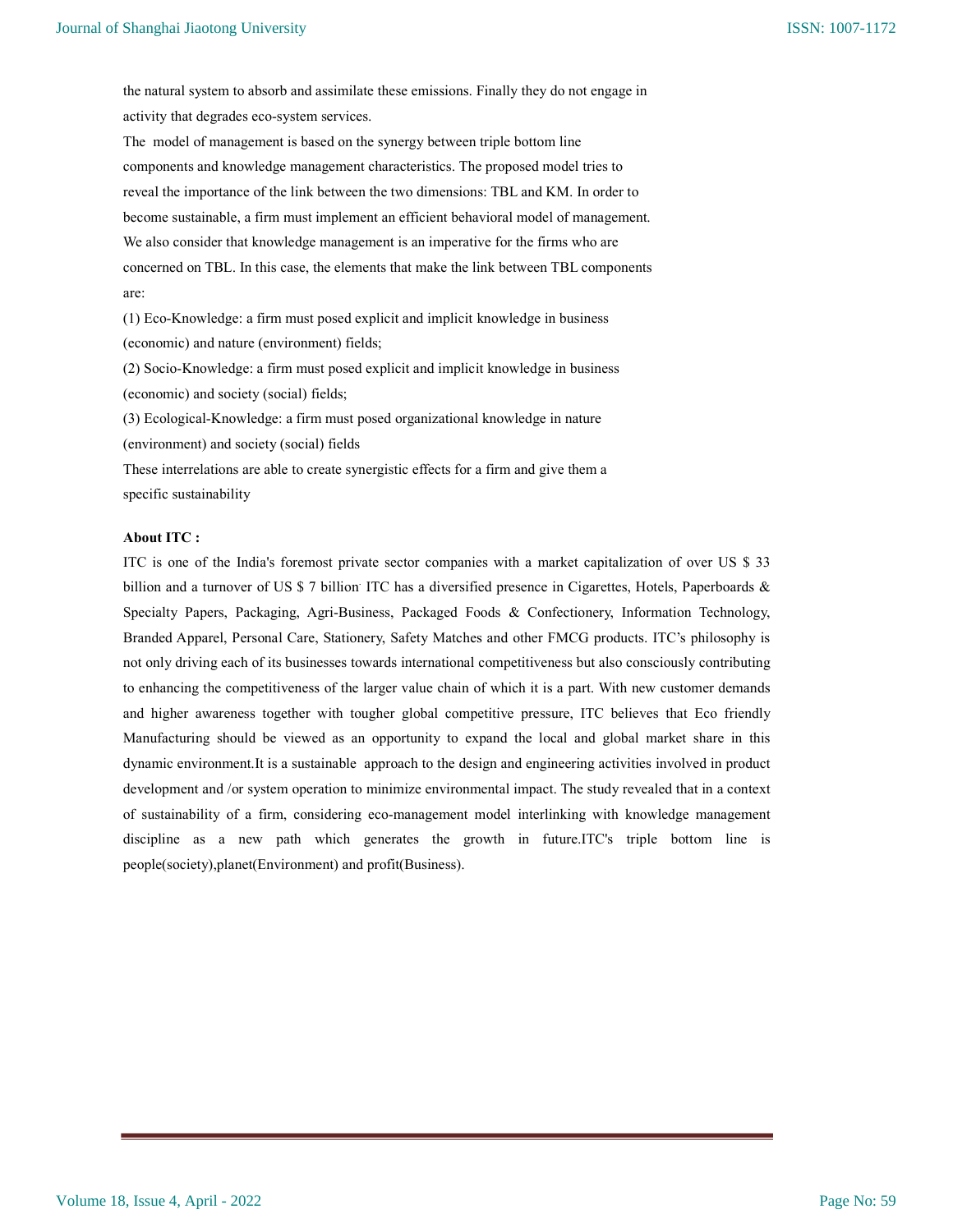the natural system to absorb and assimilate these emissions. Finally they do not engage in activity that degrades eco-system services.

The model of management is based on the synergy between triple bottom line components and knowledge management characteristics. The proposed model tries to reveal the importance of the link between the two dimensions: TBL and KM. In order to become sustainable, a firm must implement an efficient behavioral model of management. We also consider that knowledge management is an imperative for the firms who are concerned on TBL. In this case, the elements that make the link between TBL components are:

(1) Eco-Knowledge: a firm must posed explicit and implicit knowledge in business (economic) and nature (environment) fields;

(2) Socio-Knowledge: a firm must posed explicit and implicit knowledge in business (economic) and society (social) fields;

(3) Ecological-Knowledge: a firm must posed organizational knowledge in nature

(environment) and society (social) fields

These interrelations are able to create synergistic effects for a firm and give them a specific sustainability

## About ITC :

ITC is one of the India's foremost private sector companies with a market capitalization of over US \$ 33 billion and a turnover of US \$ 7 billion<sup>:</sup> ITC has a diversified presence in Cigarettes, Hotels, Paperboards & Specialty Papers, Packaging, Agri-Business, Packaged Foods & Confectionery, Information Technology, Branded Apparel, Personal Care, Stationery, Safety Matches and other FMCG products. ITC's philosophy is not only driving each of its businesses towards international competitiveness but also consciously contributing to enhancing the competitiveness of the larger value chain of which it is a part. With new customer demands and higher awareness together with tougher global competitive pressure, ITC believes that Eco friendly Manufacturing should be viewed as an opportunity to expand the local and global market share in this dynamic environment.It is a sustainable approach to the design and engineering activities involved in product development and /or system operation to minimize environmental impact. The study revealed that in a context of sustainability of a firm, considering eco-management model interlinking with knowledge management discipline as a new path which generates the growth in future.ITC's triple bottom line is people(society),planet(Environment) and profit(Business).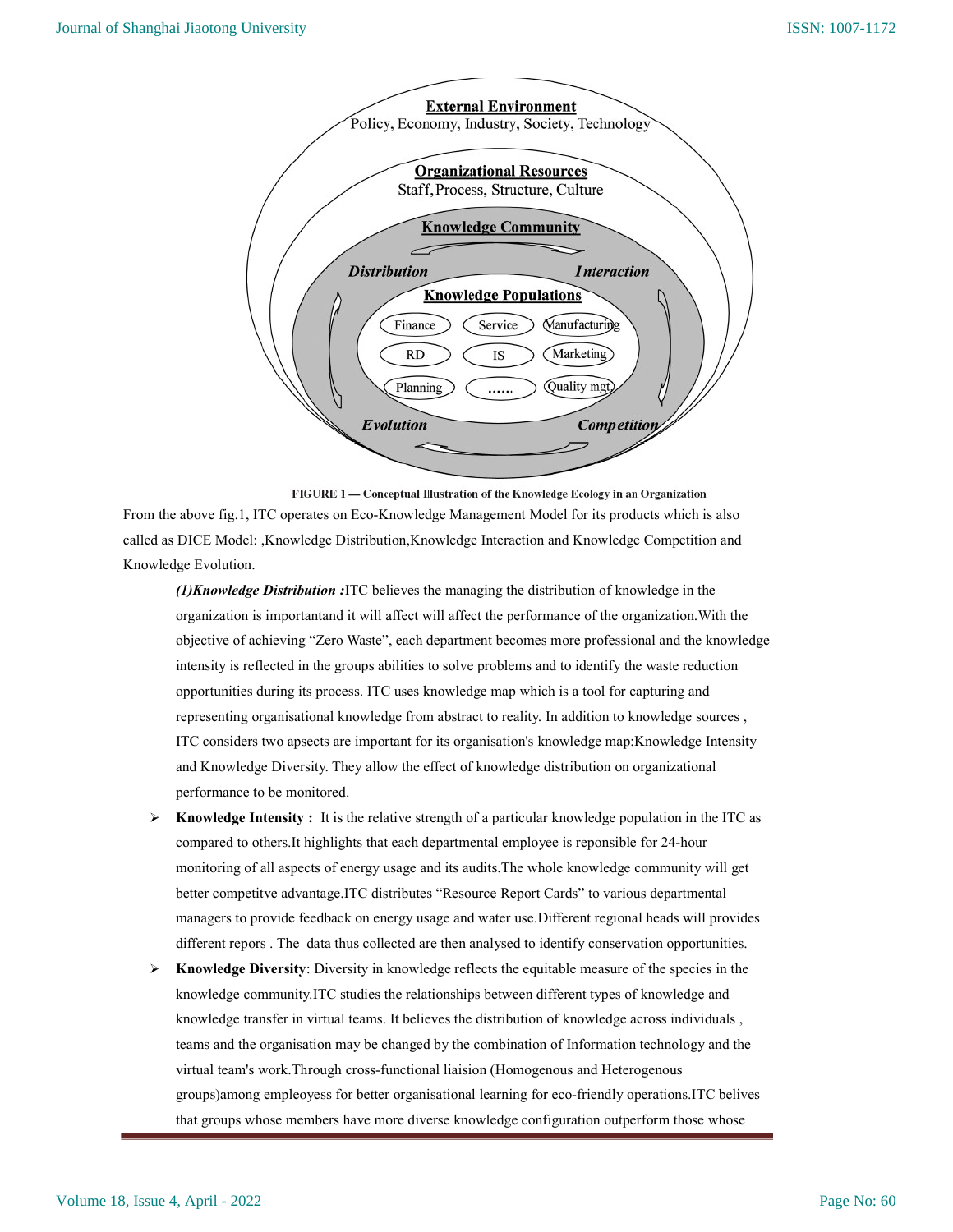

FIGURE 1 - Conceptual Illustration of the Knowledge Ecology in an Organization From the above fig.1, ITC operates on Eco-Knowledge Management Model for its products which is also called as DICE Model: ,Knowledge Distribution,Knowledge Interaction and Knowledge Competition and Knowledge Evolution.

 $(1)$ Knowledge Distribution :ITC believes the managing the distribution of knowledge in the organization is importantand it will affect will affect the performance of the organization.With the objective of achieving "Zero Waste", each department becomes more professional and the knowledge intensity is reflected in the groups abilities to solve problems and to identify the waste reduction opportunities during its process. ITC uses knowledge map which is a tool for capturing and representing organisational knowledge from abstract to reality. In addition to knowledge sources , ITC considers two apsects are important for its organisation's knowledge map:Knowledge Intensity and Knowledge Diversity. They allow the effect of knowledge distribution on organizational performance to be monitored.

- $\triangleright$  Knowledge Intensity : It is the relative strength of a particular knowledge population in the ITC as compared to others.It highlights that each departmental employee is reponsible for 24-hour monitoring of all aspects of energy usage and its audits.The whole knowledge community will get better competitve advantage.ITC distributes "Resource Report Cards" to various departmental managers to provide feedback on energy usage and water use.Different regional heads will provides different repors . The data thus collected are then analysed to identify conservation opportunities.
- Knowledge Diversity: Diversity in knowledge reflects the equitable measure of the species in the knowledge community.ITC studies the relationships between different types of knowledge and knowledge transfer in virtual teams. It believes the distribution of knowledge across individuals , teams and the organisation may be changed by the combination of Information technology and the virtual team's work.Through cross-functional liaision (Homogenous and Heterogenous groups)among empleoyess for better organisational learning for eco-friendly operations.ITC belives that groups whose members have more diverse knowledge configuration outperform those whose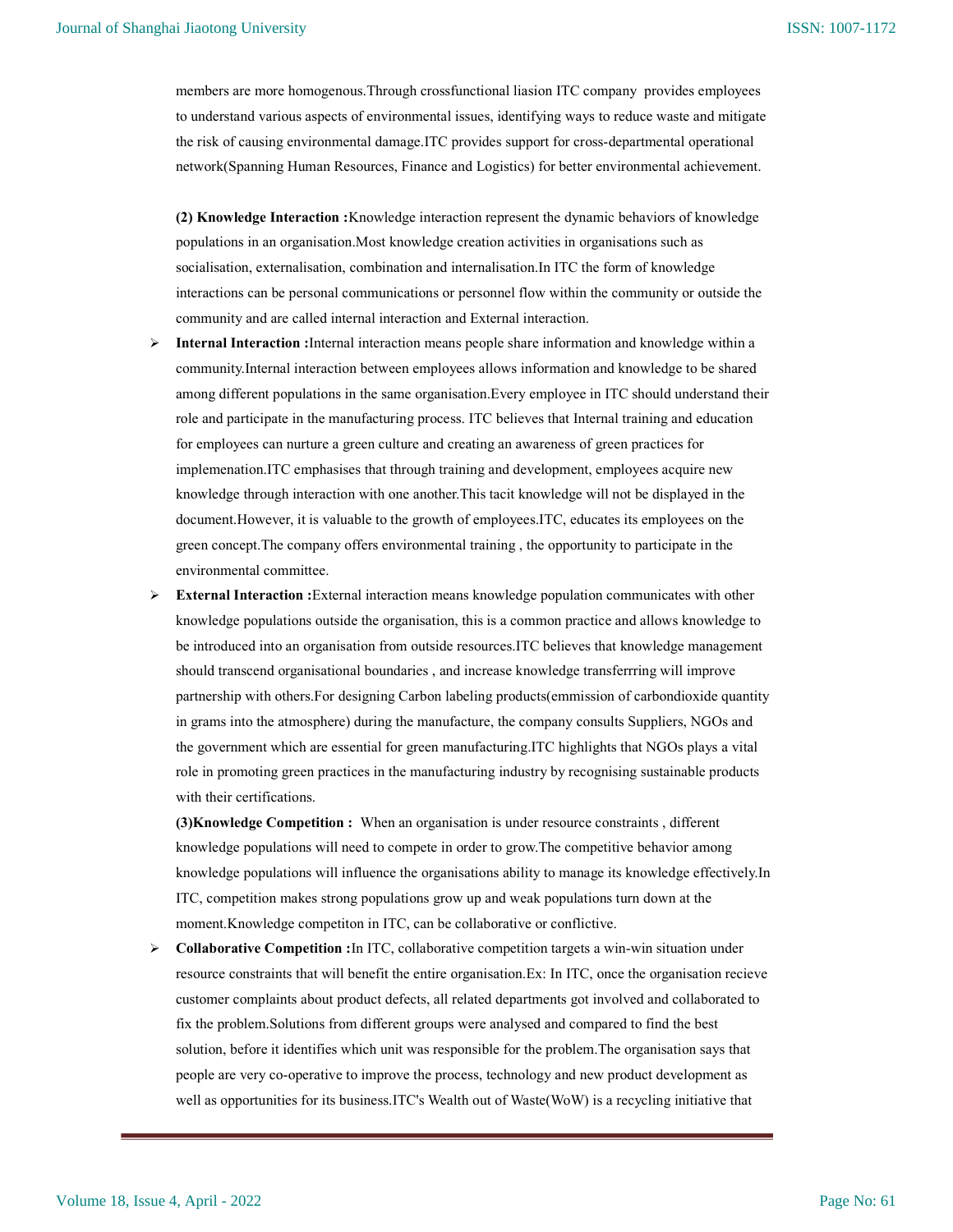members are more homogenous.Through crossfunctional liasion ITC company provides employees to understand various aspects of environmental issues, identifying ways to reduce waste and mitigate the risk of causing environmental damage.ITC provides support for cross-departmental operational network(Spanning Human Resources, Finance and Logistics) for better environmental achievement.

(2) Knowledge Interaction :Knowledge interaction represent the dynamic behaviors of knowledge populations in an organisation.Most knowledge creation activities in organisations such as socialisation, externalisation, combination and internalisation.In ITC the form of knowledge interactions can be personal communications or personnel flow within the community or outside the community and are called internal interaction and External interaction.

- Internal Interaction :Internal interaction means people share information and knowledge within a community.Internal interaction between employees allows information and knowledge to be shared among different populations in the same organisation.Every employee in ITC should understand their role and participate in the manufacturing process. ITC believes that Internal training and education for employees can nurture a green culture and creating an awareness of green practices for implemenation.ITC emphasises that through training and development, employees acquire new knowledge through interaction with one another.This tacit knowledge will not be displayed in the document.However, it is valuable to the growth of employees.ITC, educates its employees on the green concept.The company offers environmental training , the opportunity to participate in the environmental committee.
- External Interaction :External interaction means knowledge population communicates with other knowledge populations outside the organisation, this is a common practice and allows knowledge to be introduced into an organisation from outside resources.ITC believes that knowledge management should transcend organisational boundaries , and increase knowledge transferrring will improve partnership with others.For designing Carbon labeling products(emmission of carbondioxide quantity in grams into the atmosphere) during the manufacture, the company consults Suppliers, NGOs and the government which are essential for green manufacturing.ITC highlights that NGOs plays a vital role in promoting green practices in the manufacturing industry by recognising sustainable products with their certifications.

(3)Knowledge Competition : When an organisation is under resource constraints , different knowledge populations will need to compete in order to grow.The competitive behavior among knowledge populations will influence the organisations ability to manage its knowledge effectively.In ITC, competition makes strong populations grow up and weak populations turn down at the moment.Knowledge competiton in ITC, can be collaborative or conflictive.

 Collaborative Competition :In ITC, collaborative competition targets a win-win situation under resource constraints that will benefit the entire organisation.Ex: In ITC, once the organisation recieve customer complaints about product defects, all related departments got involved and collaborated to fix the problem.Solutions from different groups were analysed and compared to find the best solution, before it identifies which unit was responsible for the problem.The organisation says that people are very co-operative to improve the process, technology and new product development as well as opportunities for its business.ITC's Wealth out of Waste(WoW) is a recycling initiative that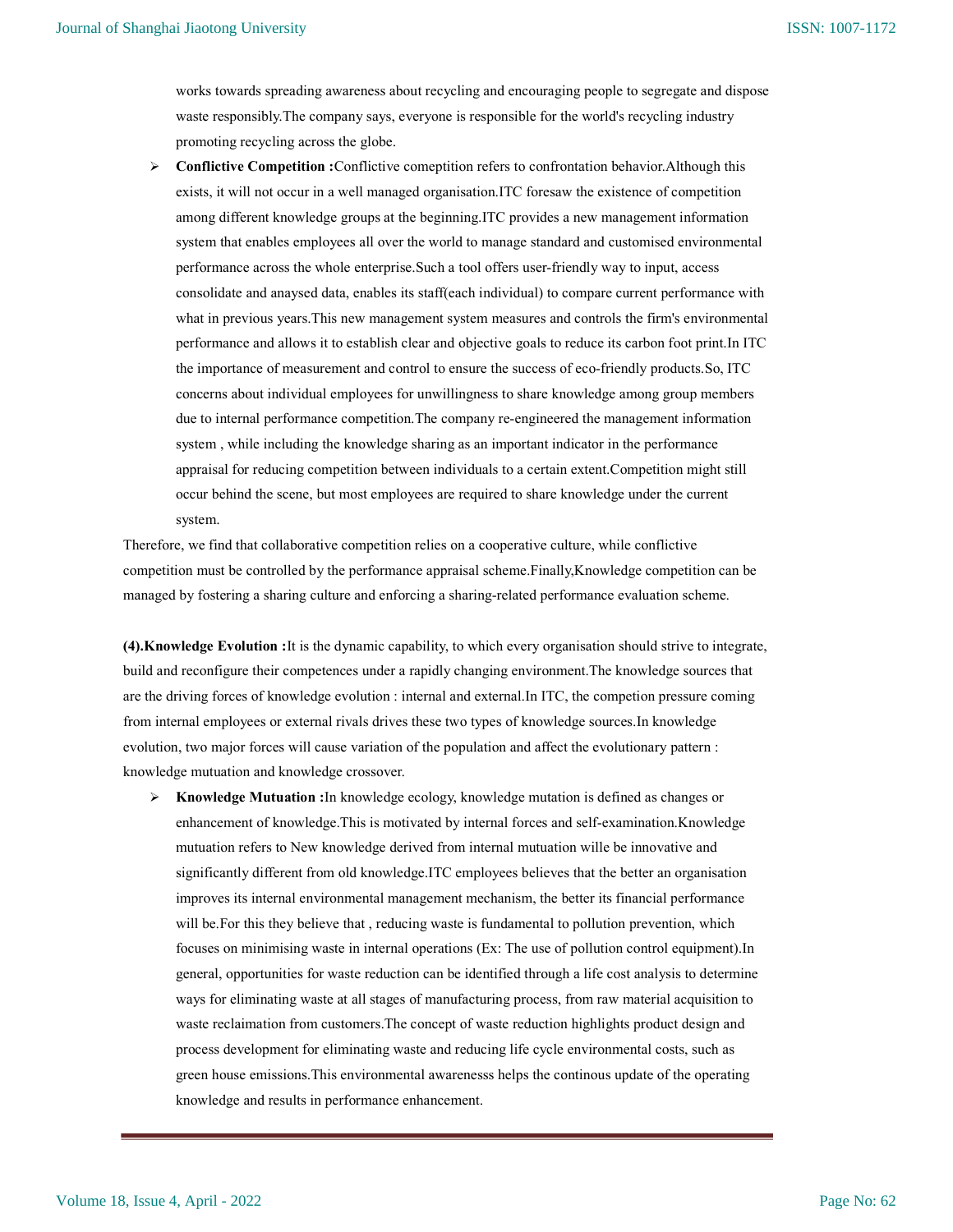works towards spreading awareness about recycling and encouraging people to segregate and dispose waste responsibly.The company says, everyone is responsible for the world's recycling industry promoting recycling across the globe.

 Conflictive Competition :Conflictive comeptition refers to confrontation behavior.Although this exists, it will not occur in a well managed organisation.ITC foresaw the existence of competition among different knowledge groups at the beginning.ITC provides a new management information system that enables employees all over the world to manage standard and customised environmental performance across the whole enterprise.Such a tool offers user-friendly way to input, access consolidate and anaysed data, enables its staff(each individual) to compare current performance with what in previous years.This new management system measures and controls the firm's environmental performance and allows it to establish clear and objective goals to reduce its carbon foot print.In ITC the importance of measurement and control to ensure the success of eco-friendly products.So, ITC concerns about individual employees for unwillingness to share knowledge among group members due to internal performance competition.The company re-engineered the management information system , while including the knowledge sharing as an important indicator in the performance appraisal for reducing competition between individuals to a certain extent.Competition might still occur behind the scene, but most employees are required to share knowledge under the current system.

Therefore, we find that collaborative competition relies on a cooperative culture, while conflictive competition must be controlled by the performance appraisal scheme.Finally,Knowledge competition can be managed by fostering a sharing culture and enforcing a sharing-related performance evaluation scheme.

(4).Knowledge Evolution :It is the dynamic capability, to which every organisation should strive to integrate, build and reconfigure their competences under a rapidly changing environment.The knowledge sources that are the driving forces of knowledge evolution : internal and external.In ITC, the competion pressure coming from internal employees or external rivals drives these two types of knowledge sources.In knowledge evolution, two major forces will cause variation of the population and affect the evolutionary pattern : knowledge mutuation and knowledge crossover.

 $\triangleright$  Knowledge Mutuation : In knowledge ecology, knowledge mutation is defined as changes or enhancement of knowledge.This is motivated by internal forces and self-examination.Knowledge mutuation refers to New knowledge derived from internal mutuation wille be innovative and significantly different from old knowledge.ITC employees believes that the better an organisation improves its internal environmental management mechanism, the better its financial performance will be.For this they believe that , reducing waste is fundamental to pollution prevention, which focuses on minimising waste in internal operations (Ex: The use of pollution control equipment).In general, opportunities for waste reduction can be identified through a life cost analysis to determine ways for eliminating waste at all stages of manufacturing process, from raw material acquisition to waste reclaimation from customers. The concept of waste reduction highlights product design and process development for eliminating waste and reducing life cycle environmental costs, such as green house emissions.This environmental awarenesss helps the continous update of the operating knowledge and results in performance enhancement.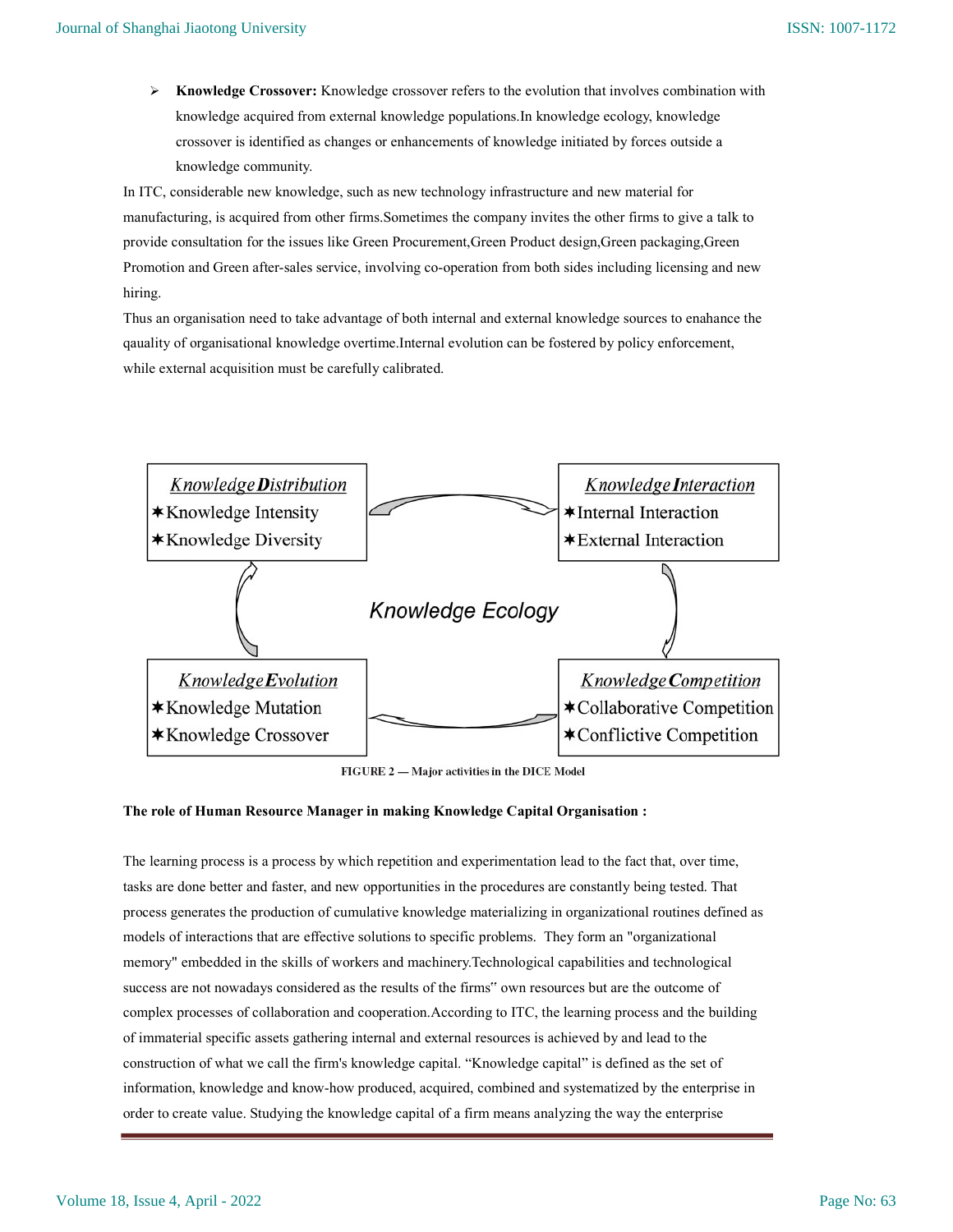$\triangleright$  Knowledge Crossover: Knowledge crossover refers to the evolution that involves combination with knowledge acquired from external knowledge populations.In knowledge ecology, knowledge crossover is identified as changes or enhancements of knowledge initiated by forces outside a knowledge community.

In ITC, considerable new knowledge, such as new technology infrastructure and new material for manufacturing, is acquired from other firms.Sometimes the company invites the other firms to give a talk to provide consultation for the issues like Green Procurement,Green Product design,Green packaging,Green Promotion and Green after-sales service, involving co-operation from both sides including licensing and new hiring.

Thus an organisation need to take advantage of both internal and external knowledge sources to enahance the qauality of organisational knowledge overtime.Internal evolution can be fostered by policy enforcement, while external acquisition must be carefully calibrated.



FIGURE 2 - Major activities in the DICE Model

## The role of Human Resource Manager in making Knowledge Capital Organisation :

The learning process is a process by which repetition and experimentation lead to the fact that, over time, tasks are done better and faster, and new opportunities in the procedures are constantly being tested. That process generates the production of cumulative knowledge materializing in organizational routines defined as models of interactions that are effective solutions to specific problems. They form an "organizational memory" embedded in the skills of workers and machinery.Technological capabilities and technological success are not nowadays considered as the results of the firms" own resources but are the outcome of complex processes of collaboration and cooperation.According to ITC, the learning process and the building of immaterial specific assets gathering internal and external resources is achieved by and lead to the construction of what we call the firm's knowledge capital. "Knowledge capital" is defined as the set of information, knowledge and know-how produced, acquired, combined and systematized by the enterprise in order to create value. Studying the knowledge capital of a firm means analyzing the way the enterprise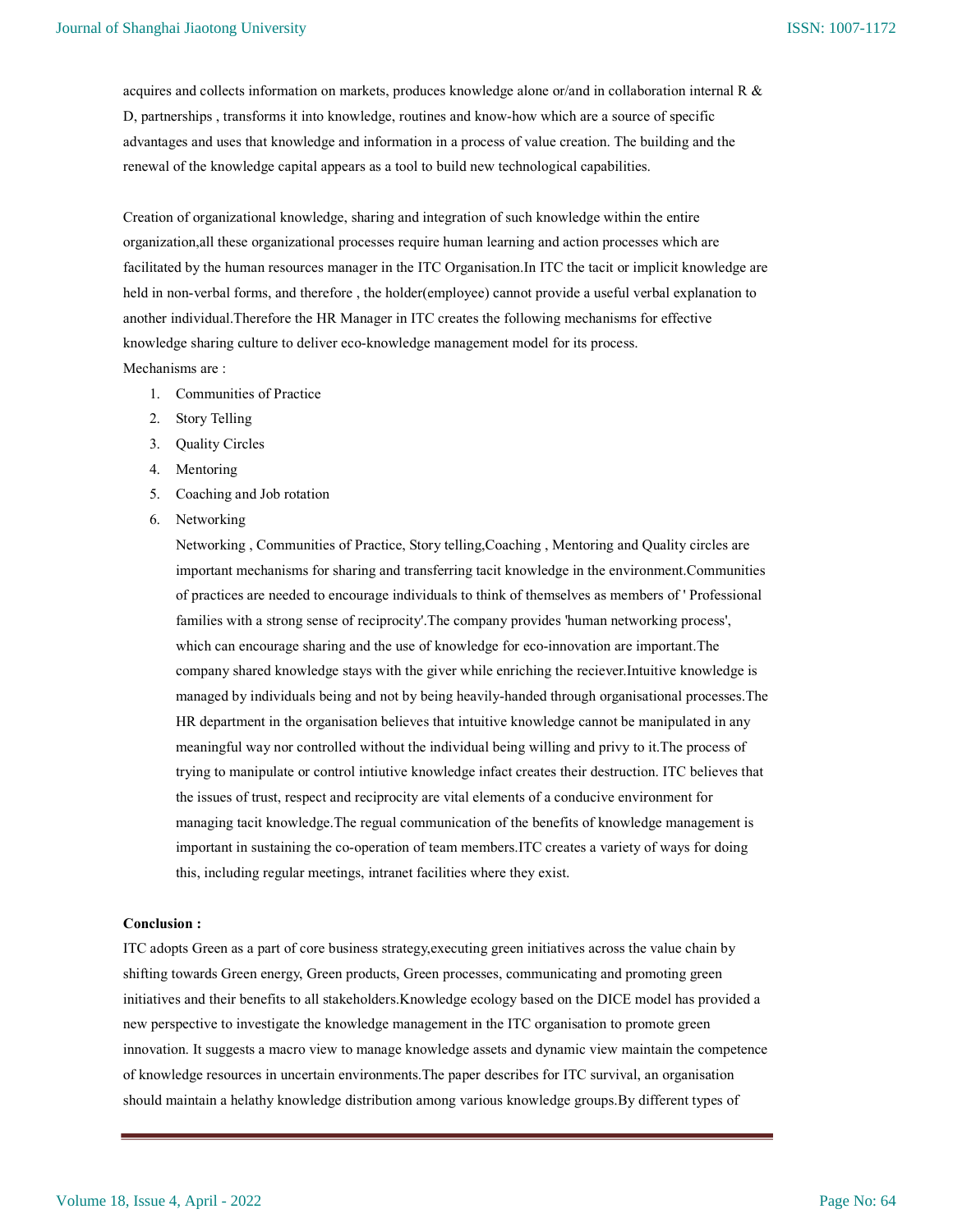acquires and collects information on markets, produces knowledge alone or/and in collaboration internal R & D, partnerships , transforms it into knowledge, routines and know-how which are a source of specific advantages and uses that knowledge and information in a process of value creation. The building and the renewal of the knowledge capital appears as a tool to build new technological capabilities.

Creation of organizational knowledge, sharing and integration of such knowledge within the entire organization,all these organizational processes require human learning and action processes which are facilitated by the human resources manager in the ITC Organisation.In ITC the tacit or implicit knowledge are held in non-verbal forms, and therefore , the holder(employee) cannot provide a useful verbal explanation to another individual.Therefore the HR Manager in ITC creates the following mechanisms for effective knowledge sharing culture to deliver eco-knowledge management model for its process. Mechanisms are :

- 1. Communities of Practice
- 2. Story Telling
- 3. Quality Circles
- 4. Mentoring
- 5. Coaching and Job rotation
- 6. Networking

Networking , Communities of Practice, Story telling,Coaching , Mentoring and Quality circles are important mechanisms for sharing and transferring tacit knowledge in the environment.Communities of practices are needed to encourage individuals to think of themselves as members of ' Professional families with a strong sense of reciprocity'.The company provides 'human networking process', which can encourage sharing and the use of knowledge for eco-innovation are important.The company shared knowledge stays with the giver while enriching the reciever.Intuitive knowledge is managed by individuals being and not by being heavily-handed through organisational processes.The HR department in the organisation believes that intuitive knowledge cannot be manipulated in any meaningful way nor controlled without the individual being willing and privy to it.The process of trying to manipulate or control intiutive knowledge infact creates their destruction. ITC believes that the issues of trust, respect and reciprocity are vital elements of a conducive environment for managing tacit knowledge.The regual communication of the benefits of knowledge management is important in sustaining the co-operation of team members.ITC creates a variety of ways for doing this, including regular meetings, intranet facilities where they exist.

### Conclusion :

ITC adopts Green as a part of core business strategy,executing green initiatives across the value chain by shifting towards Green energy, Green products, Green processes, communicating and promoting green initiatives and their benefits to all stakeholders.Knowledge ecology based on the DICE model has provided a new perspective to investigate the knowledge management in the ITC organisation to promote green innovation. It suggests a macro view to manage knowledge assets and dynamic view maintain the competence of knowledge resources in uncertain environments.The paper describes for ITC survival, an organisation should maintain a helathy knowledge distribution among various knowledge groups.By different types of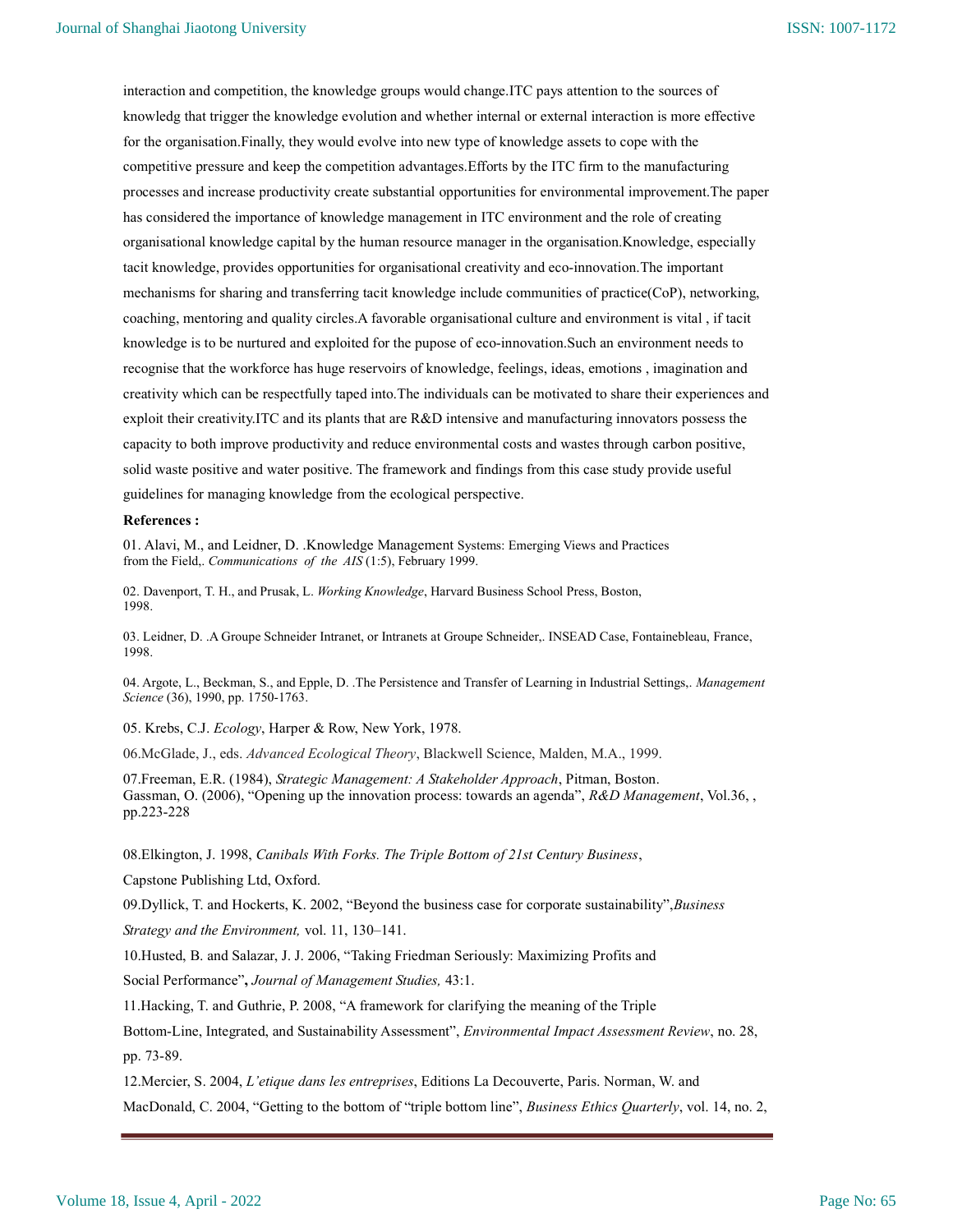interaction and competition, the knowledge groups would change.ITC pays attention to the sources of knowledg that trigger the knowledge evolution and whether internal or external interaction is more effective for the organisation.Finally, they would evolve into new type of knowledge assets to cope with the competitive pressure and keep the competition advantages.Efforts by the ITC firm to the manufacturing processes and increase productivity create substantial opportunities for environmental improvement.The paper has considered the importance of knowledge management in ITC environment and the role of creating organisational knowledge capital by the human resource manager in the organisation.Knowledge, especially tacit knowledge, provides opportunities for organisational creativity and eco-innovation.The important mechanisms for sharing and transferring tacit knowledge include communities of practice(CoP), networking, coaching, mentoring and quality circles.A favorable organisational culture and environment is vital , if tacit knowledge is to be nurtured and exploited for the pupose of eco-innovation.Such an environment needs to recognise that the workforce has huge reservoirs of knowledge, feelings, ideas, emotions , imagination and creativity which can be respectfully taped into.The individuals can be motivated to share their experiences and exploit their creativity.ITC and its plants that are R&D intensive and manufacturing innovators possess the capacity to both improve productivity and reduce environmental costs and wastes through carbon positive, solid waste positive and water positive. The framework and findings from this case study provide useful guidelines for managing knowledge from the ecological perspective.

#### References :

01. Alavi, M., and Leidner, D. .Knowledge Management Systems: Emerging Views and Practices from the Field,. Communications of the AIS (1:5), February 1999.

02. Davenport, T. H., and Prusak, L. Working Knowledge, Harvard Business School Press, Boston, 1998.

03. Leidner, D. .A Groupe Schneider Intranet, or Intranets at Groupe Schneider,. INSEAD Case, Fontainebleau, France, 1998.

04. Argote, L., Beckman, S., and Epple, D. .The Persistence and Transfer of Learning in Industrial Settings,. Management Science (36), 1990, pp. 1750-1763.

05. Krebs, C.J. Ecology, Harper & Row, New York, 1978.

06.McGlade, J., eds. Advanced Ecological Theory, Blackwell Science, Malden, M.A., 1999.

07. Freeman, E.R. (1984), Strategic Management: A Stakeholder Approach, Pitman, Boston. Gassman, O. (2006), "Opening up the innovation process: towards an agenda", R&D Management, Vol.36, , pp.223-228

08.Elkington, J. 1998, Canibals With Forks. The Triple Bottom of 21st Century Business,

Capstone Publishing Ltd, Oxford.

09. Dyllick, T. and Hockerts, K. 2002, "Beyond the business case for corporate sustainability", Business

Strategy and the Environment, vol. 11, 130–141.

10.Husted, B. and Salazar, J. J. 2006, "Taking Friedman Seriously: Maximizing Profits and

Social Performance", Journal of Management Studies, 43:1.

11.Hacking, T. and Guthrie, P. 2008, "A framework for clarifying the meaning of the Triple

Bottom-Line, Integrated, and Sustainability Assessment", Environmental Impact Assessment Review, no. 28, pp. 73-89.

12.Mercier, S. 2004, L'etique dans les entreprises, Editions La Decouverte, Paris. Norman, W. and

MacDonald, C. 2004, "Getting to the bottom of "triple bottom line", Business Ethics Quarterly, vol. 14, no. 2,